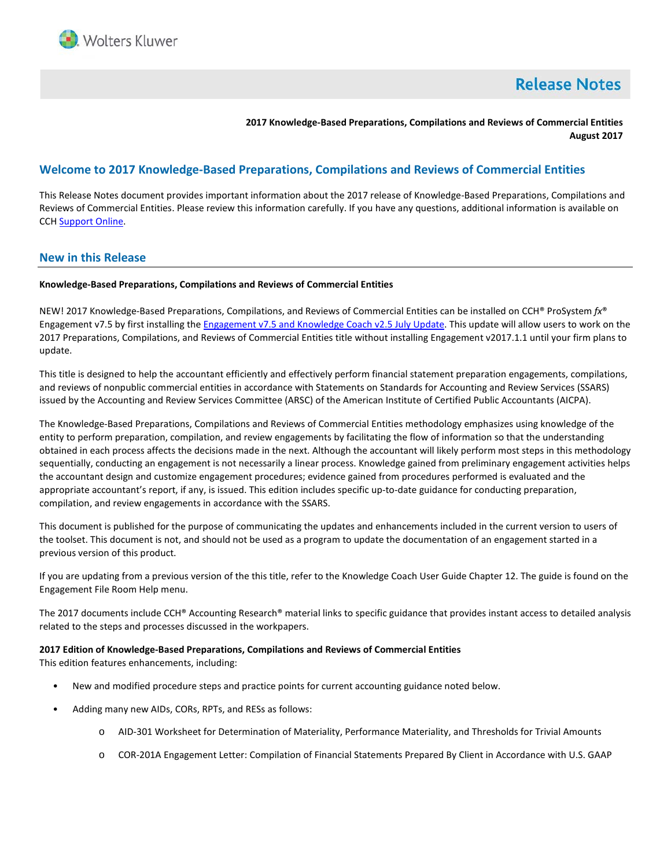

# **Release Notes**

**2017 Knowledge-Based Preparations, Compilations and Reviews of Commercial Entities August 2017**

# **Welcome to 2017 Knowledge-Based Preparations, Compilations and Reviews of Commercial Entities**

This Release Notes document provides important information about the 2017 release of Knowledge-Based Preparations, Compilations and Reviews of Commercial Entities. Please review this information carefully. If you have any questions, additional information is available on CCH [Support Online.](http://support.cch.com/productsupport/)

# **New in this Release**

### **Knowledge-Based Preparations, Compilations and Reviews of Commercial Entities**

NEW! 2017 Knowledge-Based Preparations, Compilations, and Reviews of Commercial Entities can be installed on CCH® ProSystem *fx*® Engagement v7.5 by first installing th[e Engagement v7.5 and](https://support.cch.com/updates/Engagement/patch75/patch75.aspx) Knowledge Coach v2.5 July Update. This update will allow users to work on the 2017 Preparations, Compilations, and Reviews of Commercial Entities title without installing Engagement v2017.1.1 until your firm plans to update.

This title is designed to help the accountant efficiently and effectively perform financial statement preparation engagements, compilations, and reviews of nonpublic commercial entities in accordance with Statements on Standards for Accounting and Review Services (SSARS) issued by the Accounting and Review Services Committee (ARSC) of the American Institute of Certified Public Accountants (AICPA).

The Knowledge-Based Preparations, Compilations and Reviews of Commercial Entities methodology emphasizes using knowledge of the entity to perform preparation, compilation, and review engagements by facilitating the flow of information so that the understanding obtained in each process affects the decisions made in the next. Although the accountant will likely perform most steps in this methodology sequentially, conducting an engagement is not necessarily a linear process. Knowledge gained from preliminary engagement activities helps the accountant design and customize engagement procedures; evidence gained from procedures performed is evaluated and the appropriate accountant's report, if any, is issued. This edition includes specific up-to-date guidance for conducting preparation, compilation, and review engagements in accordance with the SSARS.

This document is published for the purpose of communicating the updates and enhancements included in the current version to users of the toolset. This document is not, and should not be used as a program to update the documentation of an engagement started in a previous version of this product.

If you are updating from a previous version of the this title, refer to the Knowledge Coach User Guide Chapter 12. The guide is found on the Engagement File Room Help menu.

The 2017 documents include CCH® Accounting Research® material links to specific guidance that provides instant access to detailed analysis related to the steps and processes discussed in the workpapers.

#### **2017 Edition of Knowledge-Based Preparations, Compilations and Reviews of Commercial Entities**

This edition features enhancements, including:

- New and modified procedure steps and practice points for current accounting guidance noted below.
- Adding many new AIDs, CORs, RPTs, and RESs as follows:
	- o AID-301 Worksheet for Determination of Materiality, Performance Materiality, and Thresholds for Trivial Amounts
	- o COR-201A Engagement Letter: Compilation of Financial Statements Prepared By Client in Accordance with U.S. GAAP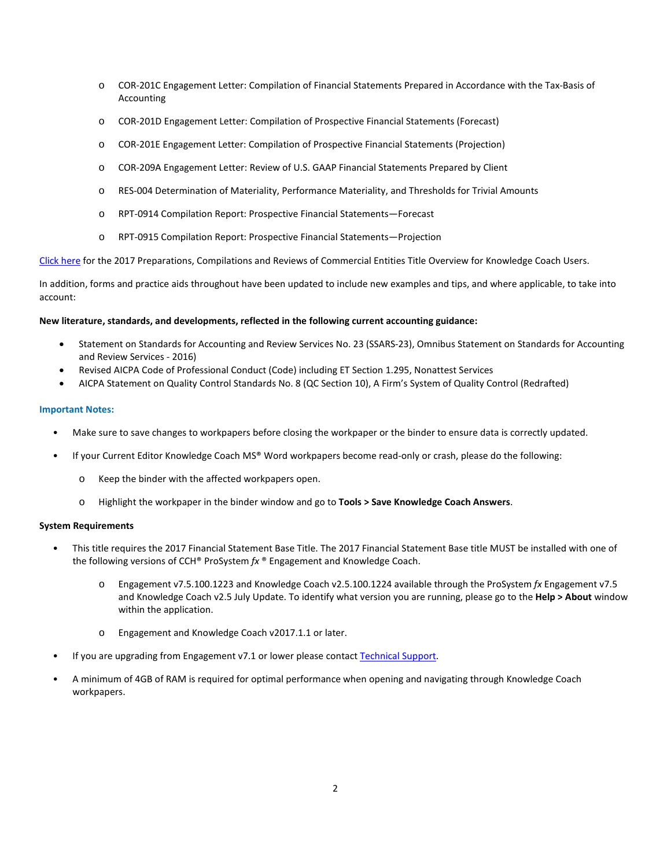- o COR-201C Engagement Letter: Compilation of Financial Statements Prepared in Accordance with the Tax-Basis of Accounting
- o COR-201D Engagement Letter: Compilation of Prospective Financial Statements (Forecast)
- o COR-201E Engagement Letter: Compilation of Prospective Financial Statements (Projection)
- o COR-209A Engagement Letter: Review of U.S. GAAP Financial Statements Prepared by Client
- o RES-004 Determination of Materiality, Performance Materiality, and Thresholds for Trivial Amounts
- o RPT-0914 Compilation Report: Prospective Financial Statements—Forecast
- o RPT-0915 Compilation Report: Prospective Financial Statements—Projection

[Click here](http://support.cch.com/updates/KnowledgeCoach/pdf/guides_tab/2017%20Commercial%20Entities%20PCR%20Title%20Overview%20for%20Knowledge%20Coach%20Users.pdf) for the 2017 Preparations, Compilations and Reviews of Commercial Entities Title Overview for Knowledge Coach Users.

In addition, forms and practice aids throughout have been updated to include new examples and tips, and where applicable, to take into account:

### **New literature, standards, and developments, reflected in the following current accounting guidance:**

- Statement on Standards for Accounting and Review Services No. 23 (SSARS-23), Omnibus Statement on Standards for Accounting and Review Services - 2016)
- Revised AICPA Code of Professional Conduct (Code) including ET Section 1.295, Nonattest Services
- AICPA Statement on Quality Control Standards No. 8 (QC Section 10), A Firm's System of Quality Control (Redrafted)

### **Important Notes:**

- Make sure to save changes to workpapers before closing the workpaper or the binder to ensure data is correctly updated.
- If your Current Editor Knowledge Coach MS® Word workpapers become read-only or crash, please do the following:
	- o Keep the binder with the affected workpapers open.
	- o Highlight the workpaper in the binder window and go to **Tools > Save Knowledge Coach Answers**.

#### **System Requirements**

- This title requires the 2017 Financial Statement Base Title. The 2017 Financial Statement Base title MUST be installed with one of the following versions of CCH® ProSystem *fx* ® Engagement and Knowledge Coach.
	- o Engagement v7.5.100.1223 and Knowledge Coach v2.5.100.1224 available through the ProSystem *fx* Engagement v7.5 and Knowledge Coach v2.5 July Update. To identify what version you are running, please go to the **Help > About** window within the application.
	- o Engagement and Knowledge Coach v2017.1.1 or later.
- If you are upgrading from Engagement v7.1 or lower please contac[t Technical Support.](https://support.cch.com/contact)
- A minimum of 4GB of RAM is required for optimal performance when opening and navigating through Knowledge Coach workpapers.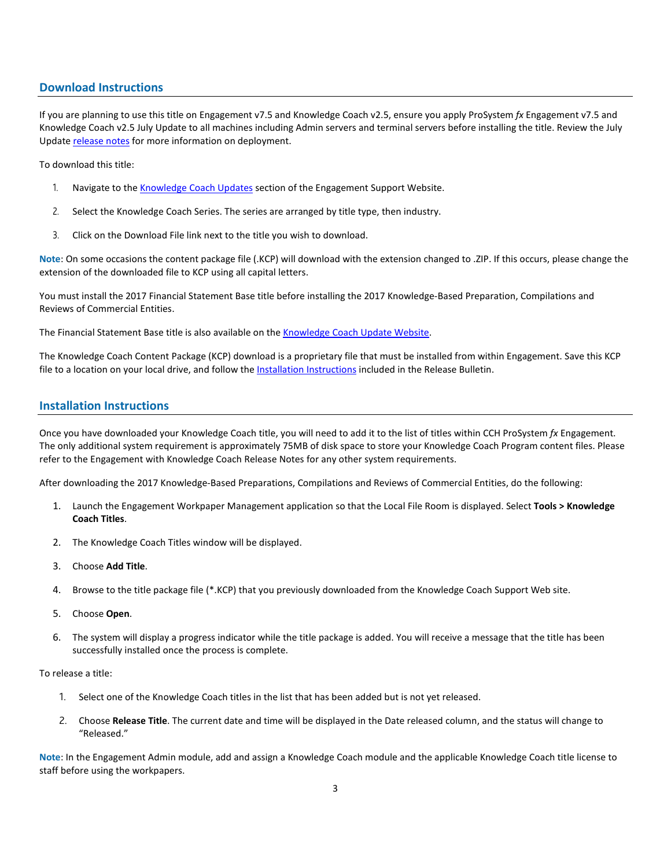# **Download Instructions**

If you are planning to use this title on Engagement v7.5 and Knowledge Coach v2.5, ensure you apply ProSystem *fx* Engagement v7.5 and Knowledge Coach v2.5 July Update to all machines including Admin servers and terminal servers before installing the title. Review the July Update [release notes](https://support.cch.com/updates/Engagement/patch75/Engagement%20and%20KC%20July%202017%20Update%20Release%20Notes.pdf) for more information on deployment.

To download this title:

- 1. Navigate to the [Knowledge Coach Updates](http://support.cch.com/updates/KnowledgeCoach) section of the Engagement Support Website.
- 2. Select the Knowledge Coach Series. The series are arranged by title type, then industry.
- 3. Click on the Download File link next to the title you wish to download.

**Note**: On some occasions the content package file (.KCP) will download with the extension changed to .ZIP. If this occurs, please change the extension of the downloaded file to KCP using all capital letters.

You must install the 2017 Financial Statement Base title before installing the 2017 Knowledge-Based Preparation, Compilations and Reviews of Commercial Entities.

The Financial Statement Base title is also available on th[e Knowledge Coach Update Website.](http://support.cch.com/updates/KnowledgeCoach)

The Knowledge Coach Content Package (KCP) download is a proprietary file that must be installed from within Engagement. Save this KCP file to a location on your local drive, and follow the Installation Instructions included in the Release Bulletin.

# **Installation Instructions**

Once you have downloaded your Knowledge Coach title, you will need to add it to the list of titles within CCH ProSystem *fx* Engagement. The only additional system requirement is approximately 75MB of disk space to store your Knowledge Coach Program content files. Please refer to the Engagement with Knowledge Coach Release Notes for any other system requirements.

After downloading the 2017 Knowledge-Based Preparations, Compilations and Reviews of Commercial Entities, do the following:

- 1. Launch the Engagement Workpaper Management application so that the Local File Room is displayed. Select **Tools > Knowledge Coach Titles**.
- 2. The Knowledge Coach Titles window will be displayed.
- 3. Choose **Add Title**.
- 4. Browse to the title package file (\*.KCP) that you previously downloaded from the Knowledge Coach Support Web site.
- 5. Choose **Open**.
- 6. The system will display a progress indicator while the title package is added. You will receive a message that the title has been successfully installed once the process is complete.

To release a title:

- 1. Select one of the Knowledge Coach titles in the list that has been added but is not yet released.
- 2. Choose **Release Title**. The current date and time will be displayed in the Date released column, and the status will change to "Released."

**Note**: In the Engagement Admin module, add and assign a Knowledge Coach module and the applicable Knowledge Coach title license to staff before using the workpapers.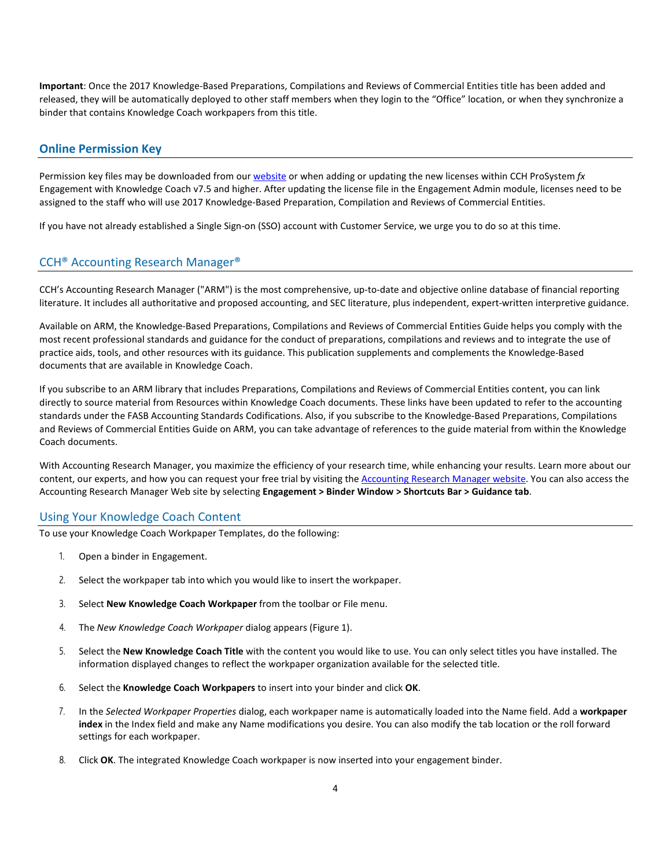**Important**: Once the 2017 Knowledge-Based Preparations, Compilations and Reviews of Commercial Entities title has been added and released, they will be automatically deployed to other staff members when they login to the "Office" location, or when they synchronize a binder that contains Knowledge Coach workpapers from this title.

### **Online Permission Key**

Permission key files may be downloaded from ou[r website](https://prosystemfxsupport.tax.cchgroup.com/permkey/download.aspx) or when adding or updating the new licenses within CCH ProSystem *fx* Engagement with Knowledge Coach v7.5 and higher. After updating the license file in the Engagement Admin module, licenses need to be assigned to the staff who will use 2017 Knowledge-Based Preparation, Compilation and Reviews of Commercial Entities.

If you have not already established a Single Sign-on (SSO) account with Customer Service, we urge you to do so at this time.

# CCH® Accounting Research Manager®

CCH's Accounting Research Manager ("ARM") is the most comprehensive, up-to-date and objective online database of financial reporting literature. It includes all authoritative and proposed accounting, and SEC literature, plus independent, expert-written interpretive guidance.

Available on ARM, the Knowledge-Based Preparations, Compilations and Reviews of Commercial Entities Guide helps you comply with the most recent professional standards and guidance for the conduct of preparations, compilations and reviews and to integrate the use of practice aids, tools, and other resources with its guidance. This publication supplements and complements the Knowledge-Based documents that are available in Knowledge Coach.

If you subscribe to an ARM library that includes Preparations, Compilations and Reviews of Commercial Entities content, you can link directly to source material from Resources within Knowledge Coach documents. These links have been updated to refer to the accounting standards under the FASB Accounting Standards Codifications. Also, if you subscribe to the Knowledge-Based Preparations, Compilations and Reviews of Commercial Entities Guide on ARM, you can take advantage of references to the guide material from within the Knowledge Coach documents.

With Accounting Research Manager, you maximize the efficiency of your research time, while enhancing your results. Learn more about our content, our experts, and how you can request your free trial by visiting the [Accounting Research Manager website.](http://www.accountingresearchmanager.com/) You can also access the Accounting Research Manager Web site by selecting **Engagement > Binder Window > Shortcuts Bar > Guidance tab**.

### Using Your Knowledge Coach Content

To use your Knowledge Coach Workpaper Templates, do the following:

- 1. Open a binder in Engagement.
- 2. Select the workpaper tab into which you would like to insert the workpaper.
- 3. Select **New Knowledge Coach Workpaper** from the toolbar or File menu.
- 4. The *New Knowledge Coach Workpaper* dialog appears (Figure 1).
- 5. Select the **New Knowledge Coach Title** with the content you would like to use. You can only select titles you have installed. The information displayed changes to reflect the workpaper organization available for the selected title.
- 6. Select the **Knowledge Coach Workpapers** to insert into your binder and click **OK**.
- 7. In the *Selected Workpaper Properties* dialog, each workpaper name is automatically loaded into the Name field. Add a **workpaper index** in the Index field and make any Name modifications you desire. You can also modify the tab location or the roll forward settings for each workpaper.
- 8. Click **OK**. The integrated Knowledge Coach workpaper is now inserted into your engagement binder.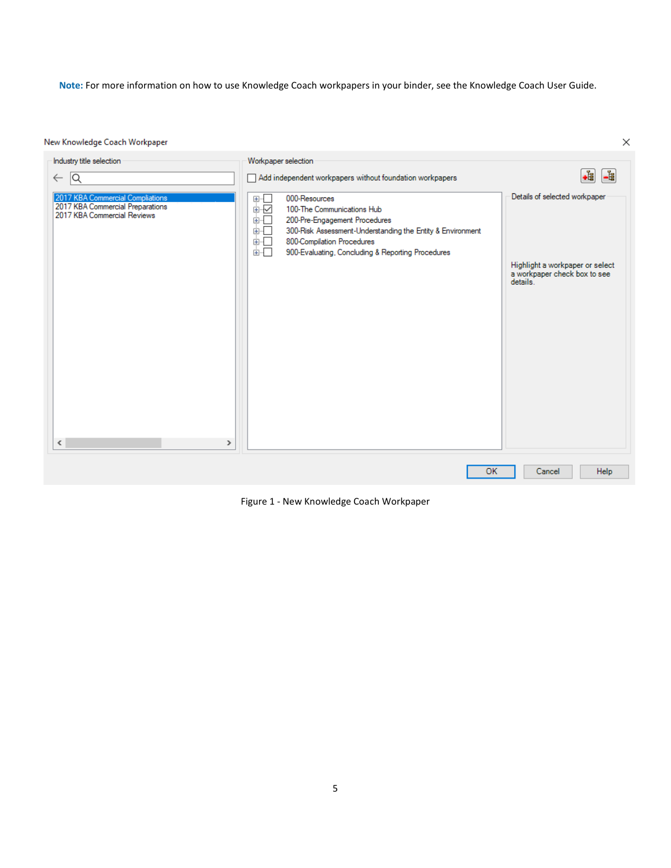**Note:** For more information on how to use Knowledge Coach workpapers in your binder, see the Knowledge Coach User Guide.

 $\times$ 

New Knowledge Coach Workpaper

| Industry title selection                                                                            | Workpaper selection                                                                                                                                                                                                                                                 |                                                                                                              |
|-----------------------------------------------------------------------------------------------------|---------------------------------------------------------------------------------------------------------------------------------------------------------------------------------------------------------------------------------------------------------------------|--------------------------------------------------------------------------------------------------------------|
| Q <br>$\leftarrow$                                                                                  | Add independent workpapers without foundation workpapers                                                                                                                                                                                                            | .i<br>-립                                                                                                     |
| 2017 KBA Commercial Compliations<br>2017 KBA Commercial Preparations<br>2017 KBA Commercial Reviews | 000-Resources<br>⊕-⊡<br>中区<br>100-The Communications Hub<br>面示<br>200-Pre-Engagement Procedures<br>300-Risk Assessment-Understanding the Entity & Environment<br>⊞…Г<br>800-Compilation Procedures<br>由…<br>画一<br>900-Evaluating, Concluding & Reporting Procedures | Details of selected workpaper<br>Highlight a workpaper or select<br>a workpaper check box to see<br>details. |
| $\langle$<br>$\rightarrow$                                                                          |                                                                                                                                                                                                                                                                     |                                                                                                              |
|                                                                                                     | OK                                                                                                                                                                                                                                                                  | Help<br>Cancel                                                                                               |

Figure 1 - New Knowledge Coach Workpaper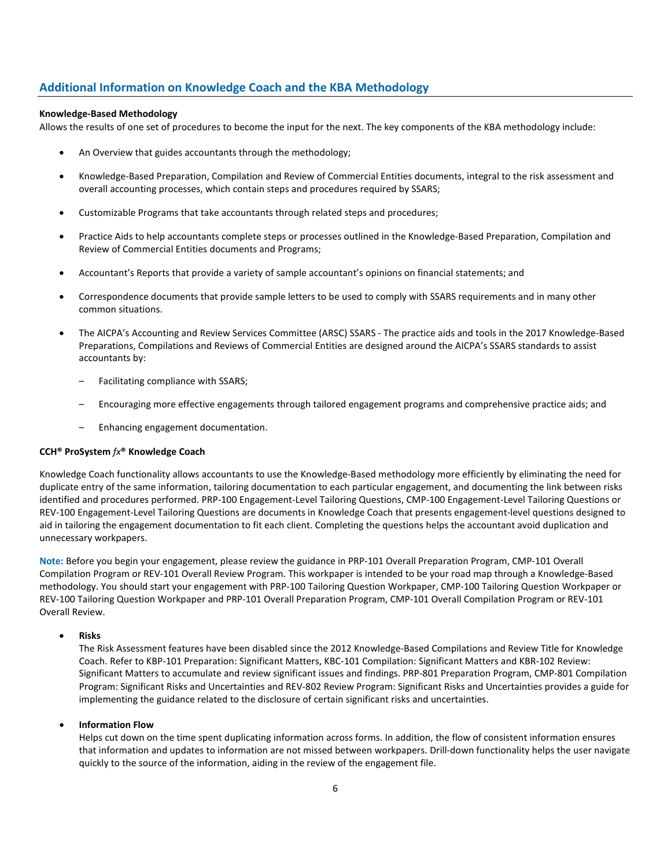# **Additional Information on Knowledge Coach and the KBA Methodology**

#### **Knowledge-Based Methodology**

Allows the results of one set of procedures to become the input for the next. The key components of the KBA methodology include:

- An Overview that guides accountants through the methodology;
- Knowledge-Based Preparation, Compilation and Review of Commercial Entities documents, integral to the risk assessment and overall accounting processes, which contain steps and procedures required by SSARS;
- Customizable Programs that take accountants through related steps and procedures;
- Practice Aids to help accountants complete steps or processes outlined in the Knowledge-Based Preparation, Compilation and Review of Commercial Entities documents and Programs;
- Accountant's Reports that provide a variety of sample accountant's opinions on financial statements; and
- Correspondence documents that provide sample letters to be used to comply with SSARS requirements and in many other common situations.
- The AICPA's Accounting and Review Services Committee (ARSC) SSARS The practice aids and tools in the 2017 Knowledge-Based Preparations, Compilations and Reviews of Commercial Entities are designed around the AICPA's SSARS standards to assist accountants by:
	- Facilitating compliance with SSARS;
	- Encouraging more effective engagements through tailored engagement programs and comprehensive practice aids; and
	- Enhancing engagement documentation.

#### **CCH® ProSystem** *fx***® Knowledge Coach**

Knowledge Coach functionality allows accountants to use the Knowledge-Based methodology more efficiently by eliminating the need for duplicate entry of the same information, tailoring documentation to each particular engagement, and documenting the link between risks identified and procedures performed. PRP-100 Engagement-Level Tailoring Questions, CMP-100 Engagement-Level Tailoring Questions or REV-100 Engagement-Level Tailoring Questions are documents in Knowledge Coach that presents engagement-level questions designed to aid in tailoring the engagement documentation to fit each client. Completing the questions helps the accountant avoid duplication and unnecessary workpapers.

**Note:** Before you begin your engagement, please review the guidance in PRP-101 Overall Preparation Program, CMP-101 Overall Compilation Program or REV-101 Overall Review Program. This workpaper is intended to be your road map through a Knowledge-Based methodology. You should start your engagement with PRP-100 Tailoring Question Workpaper, CMP-100 Tailoring Question Workpaper or REV-100 Tailoring Question Workpaper and PRP-101 Overall Preparation Program, CMP-101 Overall Compilation Program or REV-101 Overall Review.

#### • **Risks**

The Risk Assessment features have been disabled since the 2012 Knowledge-Based Compilations and Review Title for Knowledge Coach. Refer to KBP-101 Preparation: Significant Matters, KBC-101 Compilation: Significant Matters and KBR-102 Review: Significant Matters to accumulate and review significant issues and findings. PRP-801 Preparation Program, CMP-801 Compilation Program: Significant Risks and Uncertainties and REV-802 Review Program: Significant Risks and Uncertainties provides a guide for implementing the guidance related to the disclosure of certain significant risks and uncertainties.

### • **Information Flow**

Helps cut down on the time spent duplicating information across forms. In addition, the flow of consistent information ensures that information and updates to information are not missed between workpapers. Drill-down functionality helps the user navigate quickly to the source of the information, aiding in the review of the engagement file.